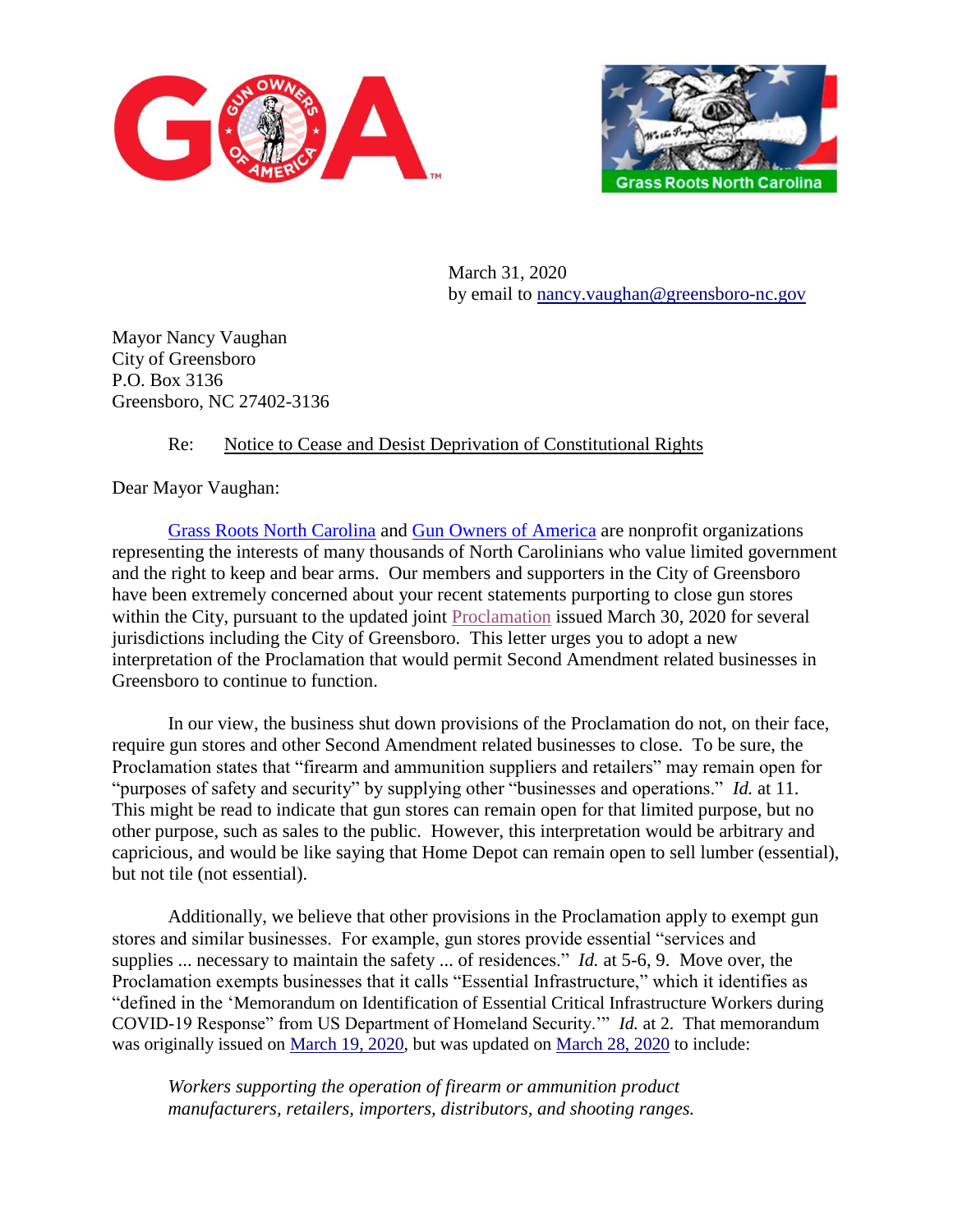



March 31, 2020 by email to [nancy.vaughan@greensboro-nc.gov](mailto:nancy.vaughan@greensboro-nc.gov)

Mayor Nancy Vaughan City of Greensboro P.O. Box 3136 Greensboro, NC 27402-3136

## Re: Notice to Cease and Desist Deprivation of Constitutional Rights

Dear Mayor Vaughan:

[Grass Roots North Carolina](https://www.grnc.org/) and [Gun Owners of America](https://gunowners.org/) are nonprofit organizations representing the interests of many thousands of North Carolinians who value limited government and the right to keep and bear arms. Our members and supporters in the City of Greensboro have been extremely concerned about your recent statements purporting to close gun stores within the City, pursuant to the updated joint [Proclamation](https://www.guilfordcountync.gov/home/showdocument?id=10280) issued March 30, 2020 for several jurisdictions including the City of Greensboro. This letter urges you to adopt a new interpretation of the Proclamation that would permit Second Amendment related businesses in Greensboro to continue to function.

In our view, the business shut down provisions of the Proclamation do not, on their face, require gun stores and other Second Amendment related businesses to close. To be sure, the Proclamation states that "firearm and ammunition suppliers and retailers" may remain open for "purposes of safety and security" by supplying other "businesses and operations." *Id.* at 11. This might be read to indicate that gun stores can remain open for that limited purpose, but no other purpose, such as sales to the public. However, this interpretation would be arbitrary and capricious, and would be like saying that Home Depot can remain open to sell lumber (essential), but not tile (not essential).

Additionally, we believe that other provisions in the Proclamation apply to exempt gun stores and similar businesses. For example, gun stores provide essential "services and supplies ... necessary to maintain the safety ... of residences." *Id.* at 5-6, 9. Move over, the Proclamation exempts businesses that it calls "Essential Infrastructure," which it identifies as "defined in the 'Memorandum on Identification of Essential Critical Infrastructure Workers during COVID-19 Response" from US Department of Homeland Security.'" *Id.* at 2. That memorandum was originally issued on [March 19, 2020,](https://www.cisa.gov/sites/default/files/publications/CISA_Guidance_on_the_Essential_Critical_Infrastructure_Workforce_508C_0.pdf) but was updated on [March 28, 2020](https://www.cisa.gov/sites/default/files/publications/CISA_Guidance_on_the_Essential_Critical_Infrastructure_Workforce_Version_2.0_Updated.pdf) to include:

*Workers supporting the operation of firearm or ammunition product manufacturers, retailers, importers, distributors, and shooting ranges.*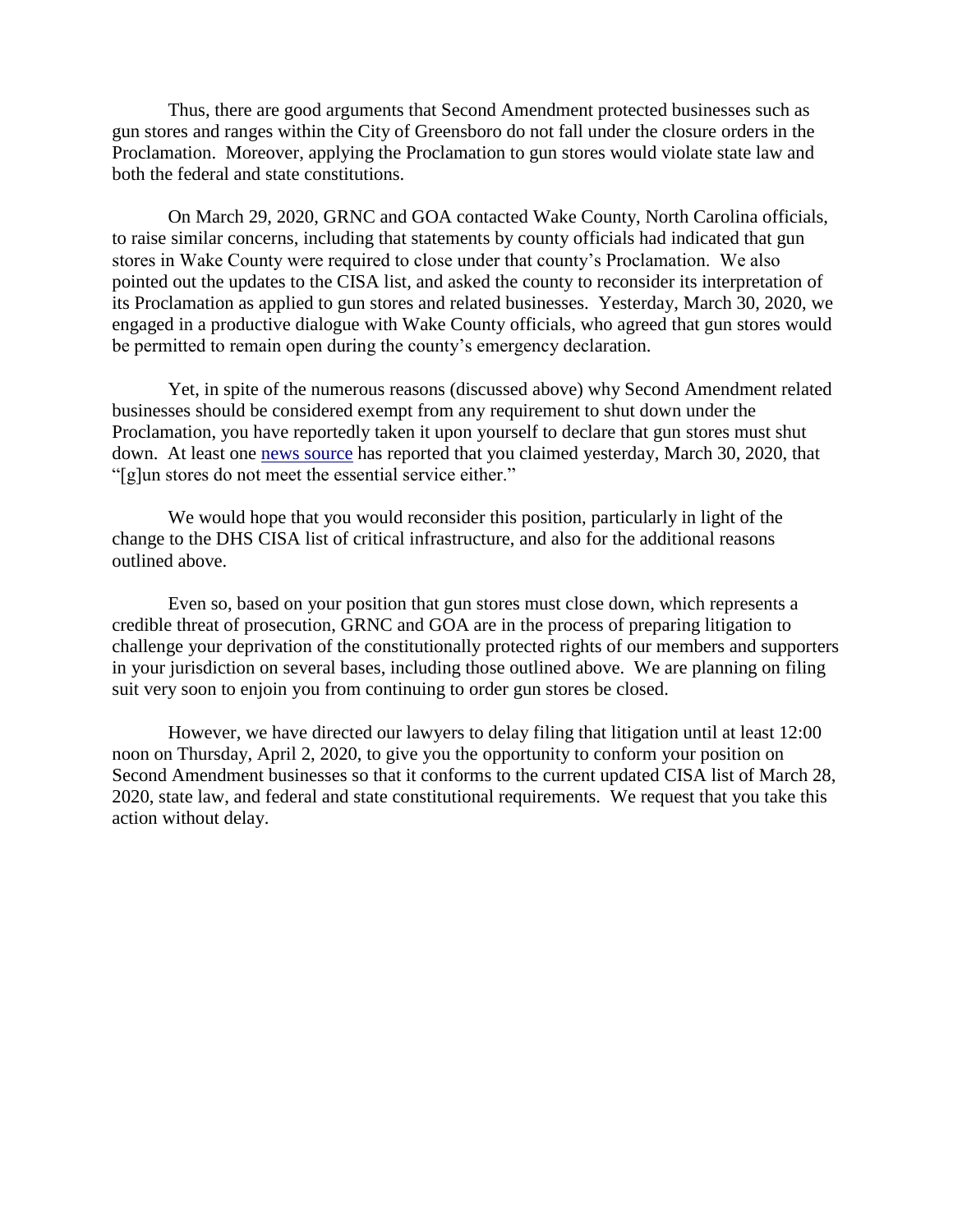Thus, there are good arguments that Second Amendment protected businesses such as gun stores and ranges within the City of Greensboro do not fall under the closure orders in the Proclamation. Moreover, applying the Proclamation to gun stores would violate state law and both the federal and state constitutions.

On March 29, 2020, GRNC and GOA contacted Wake County, North Carolina officials, to raise similar concerns, including that statements by county officials had indicated that gun stores in Wake County were required to close under that county's Proclamation. We also pointed out the updates to the CISA list, and asked the county to reconsider its interpretation of its Proclamation as applied to gun stores and related businesses. Yesterday, March 30, 2020, we engaged in a productive dialogue with Wake County officials, who agreed that gun stores would be permitted to remain open during the county's emergency declaration.

Yet, in spite of the numerous reasons (discussed above) why Second Amendment related businesses should be considered exempt from any requirement to shut down under the Proclamation, you have reportedly taken it upon yourself to declare that gun stores must shut down. At least one [news source](https://www.wfmynews2.com/article/news/local/stay-home-order-guilford-county-greensboro-difference-north-carolina-statewide-mayor-vaughan-explains/83-4c9d841f-58c0-48ee-9aa4-0156f7bcea00) has reported that you claimed yesterday, March 30, 2020, that "[g]un stores do not meet the essential service either."

We would hope that you would reconsider this position, particularly in light of the change to the DHS CISA list of critical infrastructure, and also for the additional reasons outlined above.

Even so, based on your position that gun stores must close down, which represents a credible threat of prosecution, GRNC and GOA are in the process of preparing litigation to challenge your deprivation of the constitutionally protected rights of our members and supporters in your jurisdiction on several bases, including those outlined above. We are planning on filing suit very soon to enjoin you from continuing to order gun stores be closed.

However, we have directed our lawyers to delay filing that litigation until at least 12:00 noon on Thursday, April 2, 2020, to give you the opportunity to conform your position on Second Amendment businesses so that it conforms to the current updated CISA list of March 28, 2020, state law, and federal and state constitutional requirements. We request that you take this action without delay.